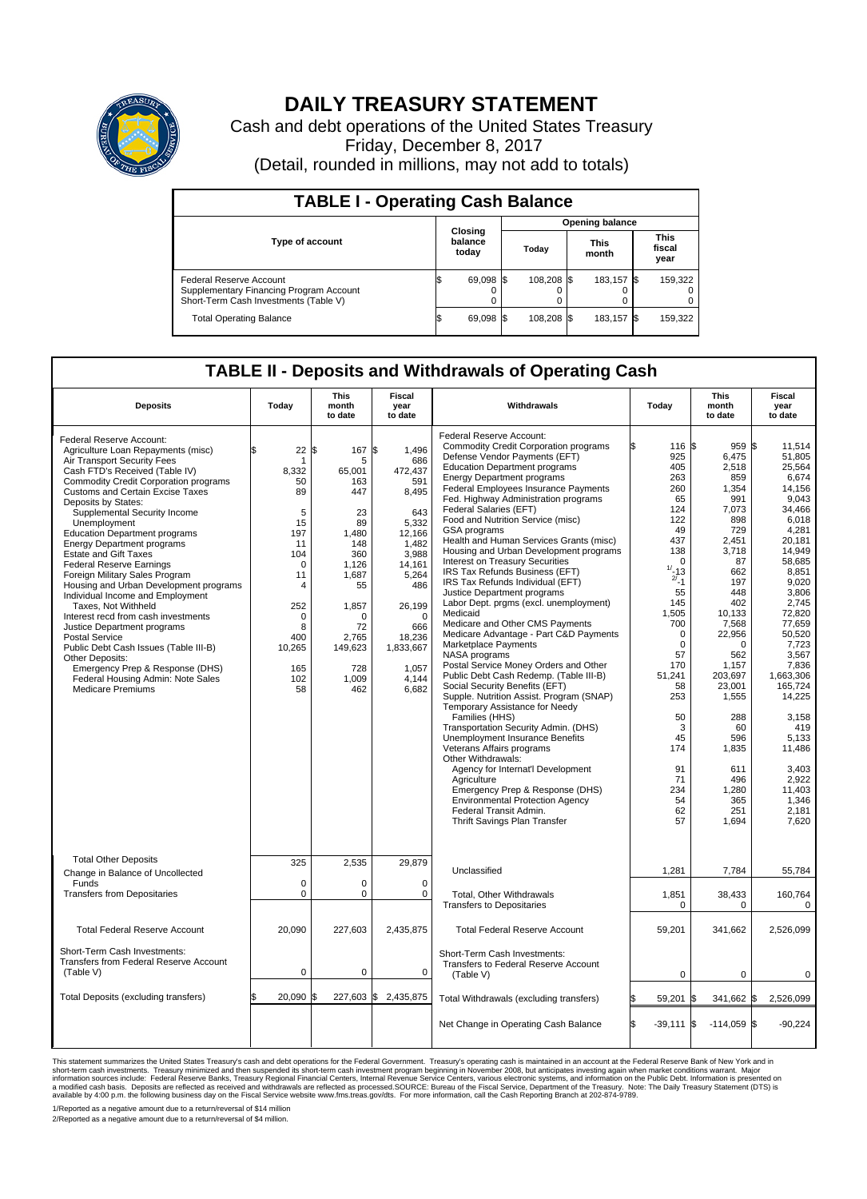

## **DAILY TREASURY STATEMENT**

Cash and debt operations of the United States Treasury Friday, December 8, 2017 (Detail, rounded in millions, may not add to totals)

| <b>TABLE I - Operating Cash Balance</b>                                                                     |                             |           |                        |                               |  |                               |  |         |  |
|-------------------------------------------------------------------------------------------------------------|-----------------------------|-----------|------------------------|-------------------------------|--|-------------------------------|--|---------|--|
|                                                                                                             | Closing<br>balance<br>today |           | <b>Opening balance</b> |                               |  |                               |  |         |  |
| <b>Type of account</b>                                                                                      |                             |           |                        | <b>This</b><br>Today<br>month |  | <b>This</b><br>fiscal<br>year |  |         |  |
| Federal Reserve Account<br>Supplementary Financing Program Account<br>Short-Term Cash Investments (Table V) |                             | 69,098 \$ |                        | 108.208 \$                    |  | 183.157 \$                    |  | 159,322 |  |
| <b>Total Operating Balance</b>                                                                              | S.                          | 69,098 \$ |                        | 108,208 \$                    |  | 183,157 \$                    |  | 159,322 |  |

## **TABLE II - Deposits and Withdrawals of Operating Cash**

| <b>Deposits</b>                                                                                                                                                                                                                                                                                                                                                                                                                                                                                                                                                                                                                                                                                                                                                                                                                                         | Today                                                                                                                                                 | <b>This</b><br>month<br>to date                                                                                                                                         | <b>Fiscal</b><br>year<br>to date                                                                                                                                                                      | Withdrawals                                                                                                                                                                                                                                                                                                                                                                                                                                                                                                                                                                                                                                                                                                                                                                                                                                                                                                                                                                                                                                                                                                                                                                                                                                                                                                  | Today                                                                                                                                                                                                                                                                                   | <b>This</b><br>month<br>to date                                                                                                                                                                                                                                                                | Fiscal<br>year<br>to date                                                                                                                                                                                                                                                                                                                 |
|---------------------------------------------------------------------------------------------------------------------------------------------------------------------------------------------------------------------------------------------------------------------------------------------------------------------------------------------------------------------------------------------------------------------------------------------------------------------------------------------------------------------------------------------------------------------------------------------------------------------------------------------------------------------------------------------------------------------------------------------------------------------------------------------------------------------------------------------------------|-------------------------------------------------------------------------------------------------------------------------------------------------------|-------------------------------------------------------------------------------------------------------------------------------------------------------------------------|-------------------------------------------------------------------------------------------------------------------------------------------------------------------------------------------------------|--------------------------------------------------------------------------------------------------------------------------------------------------------------------------------------------------------------------------------------------------------------------------------------------------------------------------------------------------------------------------------------------------------------------------------------------------------------------------------------------------------------------------------------------------------------------------------------------------------------------------------------------------------------------------------------------------------------------------------------------------------------------------------------------------------------------------------------------------------------------------------------------------------------------------------------------------------------------------------------------------------------------------------------------------------------------------------------------------------------------------------------------------------------------------------------------------------------------------------------------------------------------------------------------------------------|-----------------------------------------------------------------------------------------------------------------------------------------------------------------------------------------------------------------------------------------------------------------------------------------|------------------------------------------------------------------------------------------------------------------------------------------------------------------------------------------------------------------------------------------------------------------------------------------------|-------------------------------------------------------------------------------------------------------------------------------------------------------------------------------------------------------------------------------------------------------------------------------------------------------------------------------------------|
| Federal Reserve Account:<br>Agriculture Loan Repayments (misc)<br>Air Transport Security Fees<br>Cash FTD's Received (Table IV)<br><b>Commodity Credit Corporation programs</b><br><b>Customs and Certain Excise Taxes</b><br>Deposits by States:<br>Supplemental Security Income<br>Unemployment<br><b>Education Department programs</b><br><b>Energy Department programs</b><br><b>Estate and Gift Taxes</b><br><b>Federal Reserve Earnings</b><br>Foreign Military Sales Program<br>Housing and Urban Development programs<br>Individual Income and Employment<br>Taxes, Not Withheld<br>Interest recd from cash investments<br>Justice Department programs<br><b>Postal Service</b><br>Public Debt Cash Issues (Table III-B)<br>Other Deposits:<br>Emergency Prep & Response (DHS)<br>Federal Housing Admin: Note Sales<br><b>Medicare Premiums</b> | 22<br>1<br>8,332<br>50<br>89<br>5<br>15<br>197<br>11<br>104<br>$\mathbf 0$<br>11<br>4<br>252<br>$\mathbf 0$<br>8<br>400<br>10,265<br>165<br>102<br>58 | 167<br>\$<br>5<br>65,001<br>163<br>447<br>23<br>89<br>1,480<br>148<br>360<br>1.126<br>1,687<br>55<br>1,857<br>$\Omega$<br>72<br>2.765<br>149,623<br>728<br>1,009<br>462 | \$<br>1,496<br>686<br>472,437<br>591<br>8,495<br>643<br>5,332<br>12,166<br>1,482<br>3,988<br>14,161<br>5,264<br>486<br>26,199<br>$\mathbf 0$<br>666<br>18,236<br>1,833,667<br>1,057<br>4,144<br>6,682 | Federal Reserve Account:<br><b>Commodity Credit Corporation programs</b><br>Defense Vendor Payments (EFT)<br><b>Education Department programs</b><br><b>Energy Department programs</b><br>Federal Employees Insurance Payments<br>Fed. Highway Administration programs<br>Federal Salaries (EFT)<br>Food and Nutrition Service (misc)<br>GSA programs<br>Health and Human Services Grants (misc)<br>Housing and Urban Development programs<br>Interest on Treasury Securities<br>IRS Tax Refunds Business (EFT)<br>IRS Tax Refunds Individual (EFT)<br>Justice Department programs<br>Labor Dept. prgms (excl. unemployment)<br>Medicaid<br>Medicare and Other CMS Payments<br>Medicare Advantage - Part C&D Payments<br>Marketplace Payments<br>NASA programs<br>Postal Service Money Orders and Other<br>Public Debt Cash Redemp. (Table III-B)<br>Social Security Benefits (EFT)<br>Supple. Nutrition Assist. Program (SNAP)<br>Temporary Assistance for Needy<br>Families (HHS)<br>Transportation Security Admin. (DHS)<br>Unemployment Insurance Benefits<br>Veterans Affairs programs<br>Other Withdrawals:<br>Agency for Internat'l Development<br>Agriculture<br>Emergency Prep & Response (DHS)<br><b>Environmental Protection Agency</b><br>Federal Transit Admin.<br>Thrift Savings Plan Transfer | Ŝ.<br>116 \$<br>925<br>405<br>263<br>260<br>65<br>124<br>122<br>49<br>437<br>138<br>$\mathbf 0$<br>$1/ - 13$<br>$2^{i} - 1$<br>55<br>145<br>1,505<br>700<br>$\mathbf 0$<br>$\mathbf 0$<br>57<br>170<br>51.241<br>58<br>253<br>50<br>3<br>45<br>174<br>91<br>71<br>234<br>54<br>62<br>57 | $959$ \$<br>6,475<br>2,518<br>859<br>1,354<br>991<br>7,073<br>898<br>729<br>2.451<br>3,718<br>87<br>662<br>197<br>448<br>402<br>10,133<br>7,568<br>22,956<br>$\Omega$<br>562<br>1,157<br>203.697<br>23,001<br>1,555<br>288<br>60<br>596<br>1,835<br>611<br>496<br>1,280<br>365<br>251<br>1,694 | 11,514<br>51.805<br>25,564<br>6,674<br>14,156<br>9.043<br>34.466<br>6,018<br>4,281<br>20.181<br>14,949<br>58,685<br>8,851<br>9,020<br>3,806<br>2,745<br>72,820<br>77,659<br>50,520<br>7,723<br>3,567<br>7,836<br>1.663.306<br>165,724<br>14,225<br>3,158<br>419<br>5,133<br>11,486<br>3,403<br>2,922<br>11.403<br>1,346<br>2,181<br>7,620 |
| <b>Total Other Deposits</b><br>Change in Balance of Uncollected<br>Funds<br><b>Transfers from Depositaries</b>                                                                                                                                                                                                                                                                                                                                                                                                                                                                                                                                                                                                                                                                                                                                          | 325<br>$\mathbf 0$<br>$\pmb{0}$                                                                                                                       | 2,535<br>0<br>0                                                                                                                                                         | 29,879<br>$\mathbf 0$<br>$\mathbf 0$                                                                                                                                                                  | Unclassified<br>Total, Other Withdrawals<br><b>Transfers to Depositaries</b>                                                                                                                                                                                                                                                                                                                                                                                                                                                                                                                                                                                                                                                                                                                                                                                                                                                                                                                                                                                                                                                                                                                                                                                                                                 | 1,281<br>1,851<br>$\mathbf 0$                                                                                                                                                                                                                                                           | 7,784<br>38,433<br>$\Omega$                                                                                                                                                                                                                                                                    | 55,784<br>160,764<br>0                                                                                                                                                                                                                                                                                                                    |
| <b>Total Federal Reserve Account</b><br>Short-Term Cash Investments:<br>Transfers from Federal Reserve Account                                                                                                                                                                                                                                                                                                                                                                                                                                                                                                                                                                                                                                                                                                                                          | 20.090                                                                                                                                                | 227,603                                                                                                                                                                 | 2,435,875                                                                                                                                                                                             | <b>Total Federal Reserve Account</b><br>Short-Term Cash Investments:<br>Transfers to Federal Reserve Account                                                                                                                                                                                                                                                                                                                                                                                                                                                                                                                                                                                                                                                                                                                                                                                                                                                                                                                                                                                                                                                                                                                                                                                                 | 59,201                                                                                                                                                                                                                                                                                  | 341.662                                                                                                                                                                                                                                                                                        | 2,526,099                                                                                                                                                                                                                                                                                                                                 |
| (Table V)<br>Total Deposits (excluding transfers)                                                                                                                                                                                                                                                                                                                                                                                                                                                                                                                                                                                                                                                                                                                                                                                                       | $\mathbf 0$<br>20,090                                                                                                                                 | 0<br>l\$                                                                                                                                                                | 0<br>227,603 \$ 2,435,875                                                                                                                                                                             | (Table V)<br>Total Withdrawals (excluding transfers)                                                                                                                                                                                                                                                                                                                                                                                                                                                                                                                                                                                                                                                                                                                                                                                                                                                                                                                                                                                                                                                                                                                                                                                                                                                         | 0<br>59,201                                                                                                                                                                                                                                                                             | $\mathbf 0$<br>341,662 \$<br>I\$                                                                                                                                                                                                                                                               | $\pmb{0}$<br>2,526,099                                                                                                                                                                                                                                                                                                                    |
|                                                                                                                                                                                                                                                                                                                                                                                                                                                                                                                                                                                                                                                                                                                                                                                                                                                         |                                                                                                                                                       |                                                                                                                                                                         |                                                                                                                                                                                                       | Net Change in Operating Cash Balance                                                                                                                                                                                                                                                                                                                                                                                                                                                                                                                                                                                                                                                                                                                                                                                                                                                                                                                                                                                                                                                                                                                                                                                                                                                                         | l\$<br>$-39.111$ S                                                                                                                                                                                                                                                                      | $-114,059$ \$                                                                                                                                                                                                                                                                                  | $-90,224$                                                                                                                                                                                                                                                                                                                                 |

This statement summarizes the United States Treasury's cash and debt operations for the Federal Government. Treasury operating in November 2008, but anticingates investing again when market conditions warrant. Major York a

1/Reported as a negative amount due to a return/reversal of \$14 million 2/Reported as a negative amount due to a return/reversal of \$4 million.